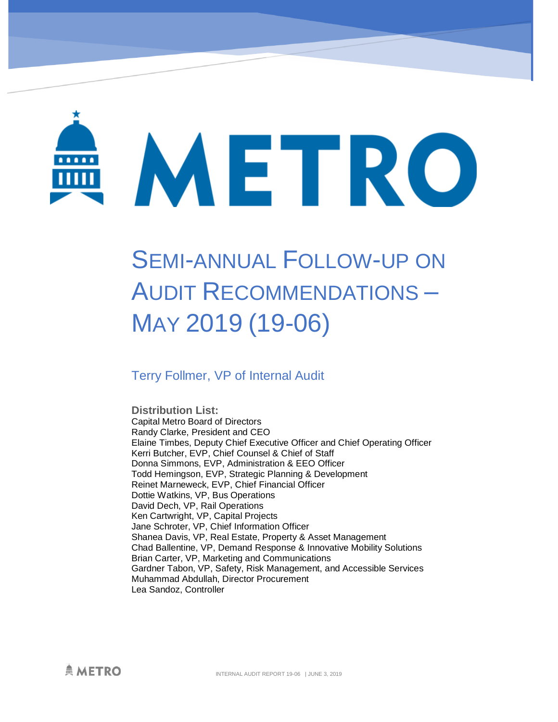

# SEMI-ANNUAL FOLLOW-UP ON AUDIT RECOMMENDATIONS – MAY 2019 (19-06)

### Terry Follmer, VP of Internal Audit

**Distribution List:**  Capital Metro Board of Directors Randy Clarke, President and CEO Elaine Timbes, Deputy Chief Executive Officer and Chief Operating Officer Kerri Butcher, EVP, Chief Counsel & Chief of Staff Donna Simmons, EVP, Administration & EEO Officer Todd Hemingson, EVP, Strategic Planning & Development Reinet Marneweck, EVP, Chief Financial Officer Dottie Watkins, VP, Bus Operations David Dech, VP, Rail Operations Ken Cartwright, VP, Capital Projects Jane Schroter, VP, Chief Information Officer Shanea Davis, VP, Real Estate, Property & Asset Management Chad Ballentine, VP, Demand Response & Innovative Mobility Solutions Brian Carter, VP, Marketing and Communications Gardner Tabon, VP, Safety, Risk Management, and Accessible Services Muhammad Abdullah, Director Procurement Lea Sandoz, Controller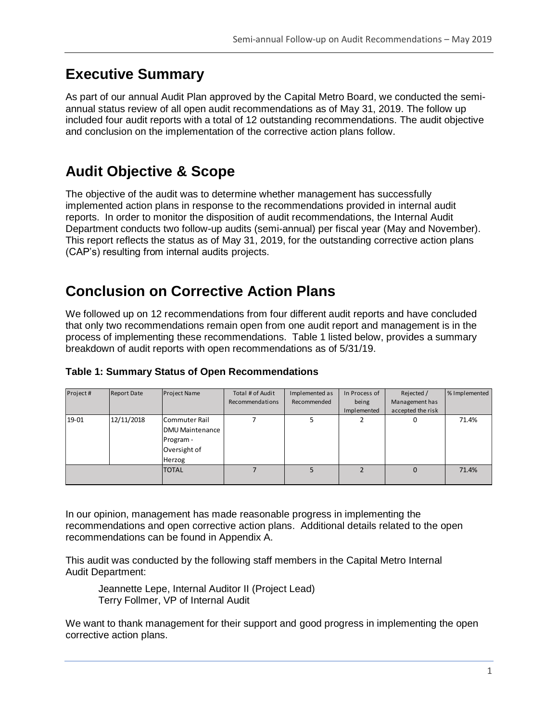## **Executive Summary**

As part of our annual Audit Plan approved by the Capital Metro Board, we conducted the semiannual status review of all open audit recommendations as of May 31, 2019. The follow up included four audit reports with a total of 12 outstanding recommendations. The audit objective and conclusion on the implementation of the corrective action plans follow.

## **Audit Objective & Scope**

The objective of the audit was to determine whether management has successfully implemented action plans in response to the recommendations provided in internal audit reports. In order to monitor the disposition of audit recommendations, the Internal Audit Department conducts two follow-up audits (semi-annual) per fiscal year (May and November). This report reflects the status as of May 31, 2019, for the outstanding corrective action plans (CAP's) resulting from internal audits projects.

## **Conclusion on Corrective Action Plans**

We followed up on 12 recommendations from four different audit reports and have concluded that only two recommendations remain open from one audit report and management is in the process of implementing these recommendations. Table 1 listed below, provides a summary breakdown of audit reports with open recommendations as of 5/31/19.

| Project# | <b>Report Date</b> | Project Name                                                                   | Total # of Audit<br>Recommendations | Implemented as<br>Recommended | In Process of<br>being<br>Implemented | Rejected /<br>Management has<br>accepted the risk | % Implemented |
|----------|--------------------|--------------------------------------------------------------------------------|-------------------------------------|-------------------------------|---------------------------------------|---------------------------------------------------|---------------|
| 19-01    | 12/11/2018         | Commuter Rail<br><b>DMU Maintenance</b><br>Program -<br>Oversight of<br>Herzog |                                     |                               |                                       | 0                                                 | 71.4%         |
|          |                    | <b>TOTAL</b>                                                                   |                                     |                               |                                       | $\Omega$                                          | 71.4%         |

#### **Table 1: Summary Status of Open Recommendations**

In our opinion, management has made reasonable progress in implementing the recommendations and open corrective action plans. Additional details related to the open recommendations can be found in Appendix A.

This audit was conducted by the following staff members in the Capital Metro Internal Audit Department:

Jeannette Lepe, Internal Auditor II (Project Lead) Terry Follmer, VP of Internal Audit

We want to thank management for their support and good progress in implementing the open corrective action plans.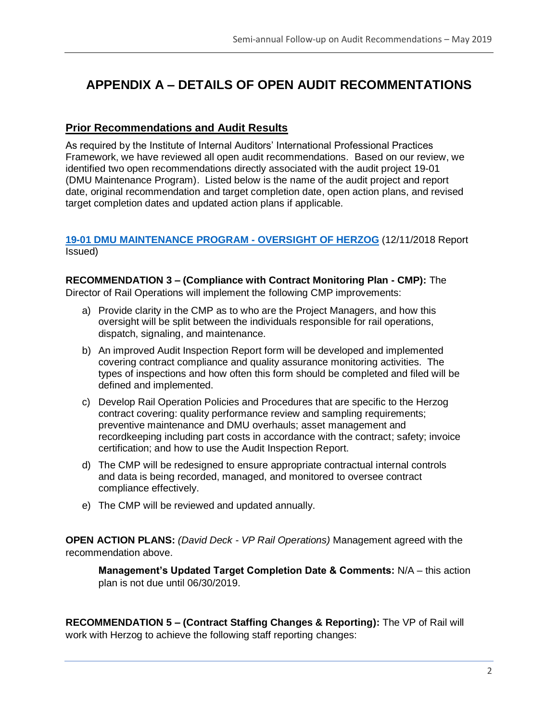## **APPENDIX A – DETAILS OF OPEN AUDIT RECOMMENTATIONS**

#### **Prior Recommendations and Audit Results**

As required by the Institute of Internal Auditors' International Professional Practices Framework, we have reviewed all open audit recommendations. Based on our review, we identified two open recommendations directly associated with the audit project 19-01 (DMU Maintenance Program). Listed below is the name of the audit project and report date, original recommendation and target completion date, open action plans, and revised target completion dates and updated action plans if applicable.

#### **[19-01 DMU MAINTENANCE PROGRAM -](https://capmetro.sharepoint.com/sites/ADT/DeptOnly/2018/Audit%20Plan%20and%20Projects/Audit%20Projects/19-01Rail-DMU%20Vehicle%20Maintenance%2001-2018/3%20-%20Reporting/19-01%20Commuter%20Rail%20DMU%20Maintenance%20Program%2012-11-18.docx) OVERSIGHT OF HERZOG** (12/11/2018 Report Issued)

#### **RECOMMENDATION 3 – (Compliance with Contract Monitoring Plan - CMP):** The Director of Rail Operations will implement the following CMP improvements:

- a) Provide clarity in the CMP as to who are the Project Managers, and how this oversight will be split between the individuals responsible for rail operations, dispatch, signaling, and maintenance.
- b) An improved Audit Inspection Report form will be developed and implemented covering contract compliance and quality assurance monitoring activities. The types of inspections and how often this form should be completed and filed will be defined and implemented.
- c) Develop Rail Operation Policies and Procedures that are specific to the Herzog contract covering: quality performance review and sampling requirements; preventive maintenance and DMU overhauls; asset management and recordkeeping including part costs in accordance with the contract; safety; invoice certification; and how to use the Audit Inspection Report.
- d) The CMP will be redesigned to ensure appropriate contractual internal controls and data is being recorded, managed, and monitored to oversee contract compliance effectively.
- e) The CMP will be reviewed and updated annually.

**OPEN ACTION PLANS:** *(David Deck - VP Rail Operations)* Management agreed with the recommendation above.

**Management's Updated Target Completion Date & Comments:** N/A – this action plan is not due until 06/30/2019.

**RECOMMENDATION 5 – (Contract Staffing Changes & Reporting):** The VP of Rail will work with Herzog to achieve the following staff reporting changes: